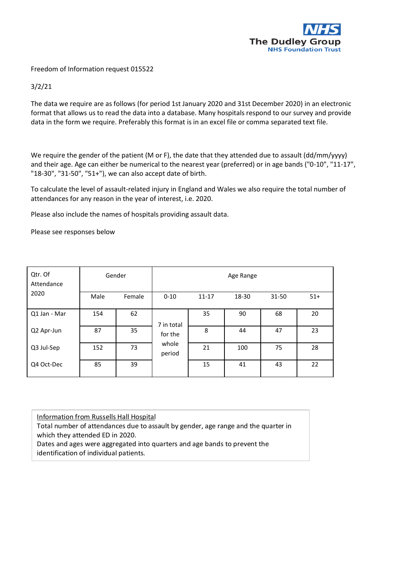

Freedom of Information request 015522

3/2/21

The data we require are as follows (for period 1st January 2020 and 31st December 2020) in an electronic format that allows us to read the data into a database. Many hospitals respond to our survey and provide data in the form we require. Preferably this format is in an excel file or comma separated text file.

We require the gender of the patient (M or F), the date that they attended due to assault (dd/mm/yyyy) and their age. Age can either be numerical to the nearest year (preferred) or in age bands ("0-10", "11-17", "18-30", "31-50", "51+"), we can also accept date of birth.

To calculate the level of assault-related injury in England and Wales we also require the total number of attendances for any reason in the year of interest, i.e. 2020.

Please also include the names of hospitals providing assault data.

Please see responses below

| Qtr. Of<br>Attendance<br>2020 | Gender |        | Age Range       |           |       |           |       |
|-------------------------------|--------|--------|-----------------|-----------|-------|-----------|-------|
|                               | Male   | Female | $0 - 10$        | $11 - 17$ | 18-30 | $31 - 50$ | $51+$ |
| Q1 Jan - Mar                  | 154    | 62     | 7 in total      | 35        | 90    | 68        | 20    |
| Q2 Apr-Jun                    | 87     | 35     | for the         | 8         | 44    | 47        | 23    |
| Q3 Jul-Sep                    | 152    | 73     | whole<br>period | 21        | 100   | 75        | 28    |
| Q4 Oct-Dec                    | 85     | 39     |                 | 15        | 41    | 43        | 22    |

Information from Russells Hall Hospital

Total number of attendances due to assault by gender, age range and the quarter in which they attended ED in 2020.

Dates and ages were aggregated into quarters and age bands to prevent the identification of individual patients.